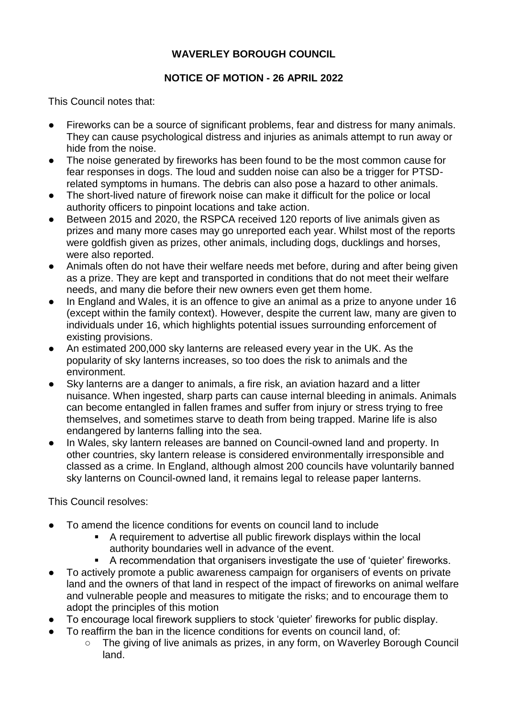## **WAVERLEY BOROUGH COUNCIL**

## **NOTICE OF MOTION - 26 APRIL 2022**

This Council notes that:

- Fireworks can be a source of significant problems, fear and distress for many animals. They can cause psychological distress and injuries as animals attempt to run away or hide from the noise.
- The noise generated by fireworks has been found to be the most common cause for fear responses in dogs. The loud and sudden noise can also be a trigger for PTSDrelated symptoms in humans. The debris can also pose a hazard to other animals.
- The short-lived nature of firework noise can make it difficult for the police or local authority officers to pinpoint locations and take action.
- Between 2015 and 2020, the RSPCA received 120 reports of live animals given as prizes and many more cases may go unreported each year. Whilst most of the reports were goldfish given as prizes, other animals, including dogs, ducklings and horses, were also reported.
- Animals often do not have their welfare needs met before, during and after being given as a prize. They are kept and transported in conditions that do not meet their welfare needs, and many die before their new owners even get them home.
- In England and Wales, it is an offence to give an animal as a prize to anyone under 16 (except within the family context). However, despite the current law, many are given to individuals under 16, which highlights potential issues surrounding enforcement of existing provisions.
- An estimated 200,000 sky lanterns are released every year in the UK. As the popularity of sky lanterns increases, so too does the risk to animals and the environment.
- Sky lanterns are a danger to animals, a fire risk, an aviation hazard and a litter nuisance. When ingested, sharp parts can cause internal bleeding in animals. Animals can become entangled in fallen frames and suffer from injury or stress trying to free themselves, and sometimes starve to death from being trapped. Marine life is also endangered by lanterns falling into the sea.
- In Wales, sky lantern releases are banned on Council-owned land and property. In other countries, sky lantern release is considered environmentally irresponsible and classed as a crime. In England, although almost 200 councils have voluntarily banned sky lanterns on Council-owned land, it remains legal to release paper lanterns.

This Council resolves:

- To amend the licence conditions for events on council land to include
	- A requirement to advertise all public firework displays within the local authority boundaries well in advance of the event.
	- A recommendation that organisers investigate the use of 'quieter' fireworks.
- To actively promote a public awareness campaign for organisers of events on private land and the owners of that land in respect of the impact of fireworks on animal welfare and vulnerable people and measures to mitigate the risks; and to encourage them to adopt the principles of this motion
- To encourage local firework suppliers to stock 'quieter' fireworks for public display.
- To reaffirm the ban in the licence conditions for events on council land, of:
	- The giving of live animals as prizes, in any form, on Waverley Borough Council land.